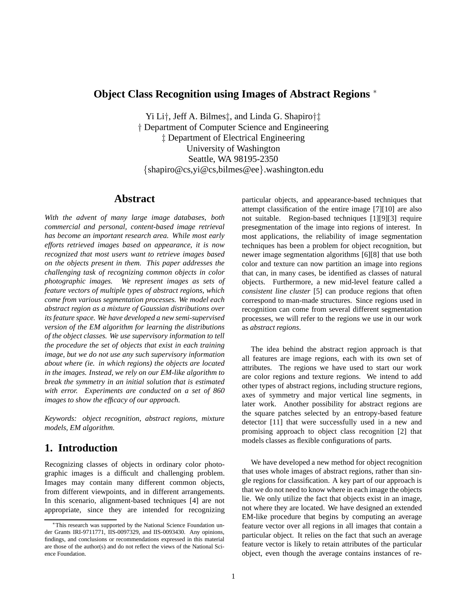#### **Object Class Recognition using Images of Abstract Regions** <sup>∗</sup>

Yi Li†, Jeff A. Bilmes‡, and Linda G. Shapiro†‡ † Department of Computer Science and Engineering ‡ Department of Electrical Engineering University of Washington Seattle, WA 98195-2350 {shapiro@cs,yi@cs,bilmes@ee}.washington.edu

### **Abstract**

*With the advent of many large image databases, both commercial and personal, content-based image retrieval has become an important research area. While most early efforts retrieved images based on appearance, it is now recognized that most users want to retrieve images based on the objects present in them. This paper addresses the challenging task of recognizing common objects in color photographic images. We represent images as sets of feature vectors of multiple types of abstract regions, which come from various segmentation processes. We model each abstract region as a mixture of Gaussian distributions over its feature space. We have developed a new semi-supervised version of the EM algorithm for learning the distributions of the object classes. We use supervisory information to tell the procedure the set of objects that exist in each training image, but we do not use any such supervisory information about where (ie. in which regions) the objects are located in the images. Instead, we rely on our EM-like algorithm to break the symmetry in an initial solution that is estimated with error. Experiments are conducted on a set of 860 images to show the efficacy of our approach.*

*Keywords: object recognition, abstract regions, mixture models, EM algorithm.*

## **1. Introduction**

Recognizing classes of objects in ordinary color photographic images is a difficult and challenging problem. Images may contain many different common objects, from different viewpoints, and in different arrangements. In this scenario, alignment-based techniques [4] are not appropriate, since they are intended for recognizing particular objects, and appearance-based techniques that attempt classification of the entire image [7][10] are also not suitable. Region-based techniques [1][9][3] require presegmentation of the image into regions of interest. In most applications, the reliability of image segmentation techniques has been a problem for object recognition, but newer image segmentation algorithms [6][8] that use both color and texture can now partition an image into regions that can, in many cases, be identified as classes of natural objects. Furthermore, a new mid-level feature called a *consistent line cluster* [5] can produce regions that often correspond to man-made structures. Since regions used in recognition can come from several different segmentation processes, we will refer to the regions we use in our work as *abstract regions*.

The idea behind the abstract region approach is that all features are image regions, each with its own set of attributes. The regions we have used to start our work are color regions and texture regions. We intend to add other types of abstract regions, including structure regions, axes of symmetry and major vertical line segments, in later work. Another possibility for abstract regions are the square patches selected by an entropy-based feature detector [11] that were successfully used in a new and promising approach to object class recognition [2] that models classes as flexible configurations of parts.

We have developed a new method for object recognition that uses whole images of abstract regions, rather than single regions for classification. A key part of our approach is that we do not need to know where in each image the objects lie. We only utilize the fact that objects exist in an image, not where they are located. We have designed an extended EM-like procedure that begins by computing an average feature vector over all regions in all images that contain a particular object. It relies on the fact that such an average feature vector is likely to retain attributes of the particular object, even though the average contains instances of re-

<sup>∗</sup>This research was supported by the National Science Foundation under Grants IRI-9711771, IIS-0097329, and IIS-0093430. Any opinions, findings, and conclusions or recommendations expressed in this material are those of the author(s) and do not reflect the views of the National Science Foundation.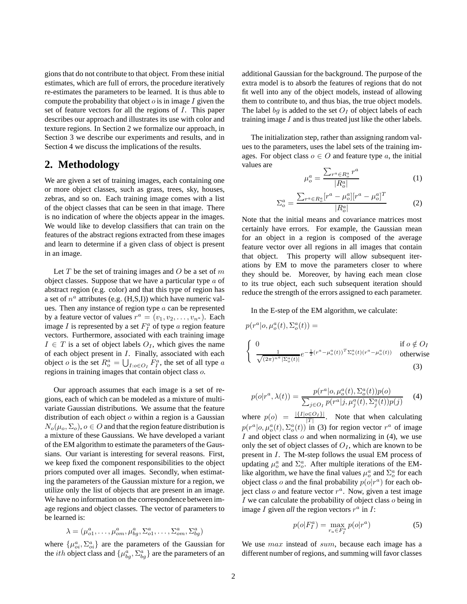gions that do not contribute to that object. From these initial estimates, which are full of errors, the procedure iteratively re-estimates the parameters to be learned. It is thus able to compute the probability that object  $o$  is in image  $I$  given the set of feature vectors for all the regions of I. This paper describes our approach and illustrates its use with color and texture regions. In Section 2 we formalize our approach, in Section 3 we describe our experiments and results, and in Section 4 we discuss the implications of the results.

### **2. Methodology**

We are given a set of training images, each containing one or more object classes, such as grass, trees, sky, houses, zebras, and so on. Each training image comes with a list of the object classes that can be seen in that image. There is no indication of where the objects appear in the images. We would like to develop classifiers that can train on the features of the abstract regions extracted from these images and learn to determine if a given class of object is present in an image.

Let  $T$  be the set of training images and  $O$  be a set of  $m$ object classes. Suppose that we have a particular type  $a$  of abstract region (e.g. color) and that this type of region has a set of  $n^a$  attributes (e.g.  $(H,S,I)$ ) which have numeric values. Then any instance of region type  $a$  can be represented by a feature vector of values  $r^a = (v_1, v_2, \dots, v_{n^a})$ . Each image *I* is represented by a set  $F_I^a$  of type *a* region feature vectors. Furthermore, associated with each training image  $I \in T$  is a set of object labels  $O_I$ , which gives the name of each object present in I. Finally, associated with each object *o* is the set  $R_o^a = \bigcup_{I : o \in O_I} F_I^a$ , the set of all type *a* regions in training images that contain object class o.

Our approach assumes that each image is a set of regions, each of which can be modeled as a mixture of multivariate Gaussian distributions. We assume that the feature distribution of each object  $o$  within a region is a Gaussian  $N_o(\mu_o, \Sigma_o), o \in O$  and that the region feature distribution is a mixture of these Gaussians. We have developed a variant of the EM algorithm to estimate the parameters of the Gaussians. Our variant is interesting for several reasons. First, we keep fixed the component responsibilities to the object priors computed over all images. Secondly, when estimating the parameters of the Gaussian mixture for a region, we utilize only the list of objects that are present in an image. We have no information on the correspondence between image regions and object classes. The vector of parameters to be learned is:

$$
\lambda = (\mu_{o1}^a, \dots, \mu_{om}^a, \mu_{bg}^a, \Sigma_{o1}^a, \dots, \Sigma_{om}^a, \Sigma_{bg}^a)
$$

where  $\{\mu_{oi}^a, \Sigma_{oi}^a\}$  are the parameters of the Gaussian for the *ith* object class and  $\{\mu_{bg}^a, \Sigma_{bg}^a\}$  are the parameters of an

additional Gaussian for the background. The purpose of the extra model is to absorb the features of regions that do not fit well into any of the object models, instead of allowing them to contribute to, and thus bias, the true object models. The label bg is added to the set  $O<sub>I</sub>$  of object labels of each training image  $I$  and is thus treated just like the other labels.

The initialization step, rather than assigning random values to the parameters, uses the label sets of the training images. For object class  $o \in O$  and feature type a, the initial values are

$$
\mu_o^a = \frac{\sum_{r^a \in R_o^a} r^a}{|R_o^a|} \tag{1}
$$

$$
\Sigma_o^a = \frac{\sum_{r^a \in R_o^a} [r^a - \mu_o^a][r^a - \mu_o^a]^T}{|R_o^a|}
$$
(2)

Note that the initial means and covariance matrices most certainly have errors. For example, the Gaussian mean for an object in a region is composed of the average feature vector over all regions in all images that contain that object. This property will allow subsequent iterations by EM to move the parameters closer to where they should be. Moreover, by having each mean close to its true object, each such subsequent iteration should reduce the strength of the errors assigned to each parameter.

In the E-step of the EM algorithm, we calculate:

$$
p(r^a|o, \mu_o^a(t), \Sigma_o^a(t)) =
$$
  
\n
$$
\begin{cases}\n0 & \text{if } o \notin O_I \\
\frac{1}{\sqrt{(2\pi)^{n^a} |\Sigma_o^a(t)|}} e^{-\frac{1}{2}(r^a - \mu_o^a(t))^T \Sigma_o^a(t)(r^a - \mu_o^a(t))} & \text{otherwise}\n\end{cases}
$$
\n(3)

$$
p(o|r^{a}, \lambda(t)) = \frac{p(r^{a}|o, \mu_{o}^{a}(t), \Sigma_{o}^{a}(t))p(o)}{\sum_{j \in O_{I}} p(r^{a}|j, \mu_{j}^{a}(t), \Sigma_{j}^{a}(t))p(j)}
$$
(4)

where  $p(o) = \frac{|{I|o \in O_I}|}{|T|}$  $\frac{\partial \in \mathcal{O}_I}{\partial T}$ . Note that when calculating  $p(r^a|o, \mu_o^a(t), \Sigma_o^a(t))$  in (3) for region vector  $r^a$  of image I and object class  $o$  and when normalizing in (4), we use only the set of object classes of  $O<sub>I</sub>$ , which are known to be present in I. The M-step follows the usual EM process of updating  $\mu_o^a$  and  $\Sigma_o^a$ . After multiple iterations of the EMlike algorithm, we have the final values  $\mu_o^a$  and  $\Sigma_o^a$  for each object class  $o$  and the final probability  $p(o|r^a)$  for each object class  $o$  and feature vector  $r^a$ . Now, given a test image I we can calculate the probability of object class  $\sigma$  being in image  $I$  given all the region vectors  $r^a$  in  $I$ :

$$
p(o|F_I^a) = \max_{r_a \in F_I^a} p(o|r^a)
$$
 (5)

We use  $max$  instead of  $sum$ , because each image has a different number of regions, and summing will favor classes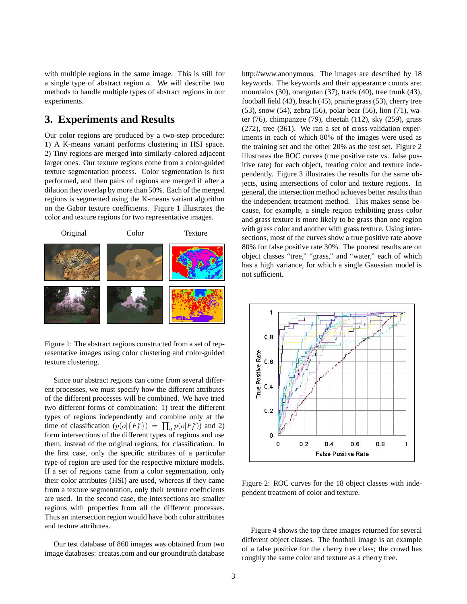with multiple regions in the same image. This is still for a single type of abstract region a. We will describe two methods to handle multiple types of abstract regions in our experiments.

#### **3. Experiments and Results**

Our color regions are produced by a two-step procedure: 1) A K-means variant performs clustering in HSI space. 2) Tiny regions are merged into similarly-colored adjacent larger ones. Our texture regions come from a color-guided texture segmentation process. Color segmentation is first performed, and then pairs of regions are merged if after a dilation they overlap by more than 50%. Each of the merged regions is segmented using the K-means variant algorithm on the Gabor texture coefficients. Figure 1 illustrates the color and texture regions for two representative images.



Figure 1: The abstract regions constructed from a set of representative images using color clustering and color-guided texture clustering.

Since our abstract regions can come from several different processes, we must specify how the different attributes of the different processes will be combined. We have tried two different forms of combination: 1) treat the different types of regions independently and combine only at the time of classification  $(p(o | \{F_I^a\}) = \prod_a p(o | F_I^a))$  and 2) form intersections of the different types of regions and use them, instead of the original regions, for classification. In the first case, only the specific attributes of a particular type of region are used for the respective mixture models. If a set of regions came from a color segmentation, only their color attributes (HSI) are used, whereas if they came from a texture segmentation, only their texture coefficients are used. In the second case, the intersections are smaller regions with properties from all the different processes. Thus an intersection region would have both color attributes and texture attributes.

Our test database of 860 images was obtained from two image databases: creatas.com and our groundtruth database

http://www.anonymous. The images are described by 18 keywords. The keywords and their appearance counts are: mountains (30), orangutan (37), track (40), tree trunk (43), football field (43), beach (45), prairie grass (53), cherry tree (53), snow (54), zebra (56), polar bear (56), lion (71), water (76), chimpanzee (79), cheetah (112), sky (259), grass (272), tree (361). We ran a set of cross-validation experiments in each of which 80% of the images were used as the training set and the other 20% as the test set. Figure 2 illustrates the ROC curves (true positive rate vs. false positive rate) for each object, treating color and texture independently. Figure 3 illustrates the results for the same objects, using intersections of color and texture regions. In general, the intersection method achieves better results than the independent treatment method. This makes sense because, for example, a single region exhibiting grass color and grass texture is more likely to be grass than one region with grass color and another with grass texture. Using intersections, most of the curves show a true positive rate above 80% for false positive rate 30%. The poorest results are on object classes "tree," "grass," and "water," each of which has a high variance, for which a single Gaussian model is not sufficient.



Figure 2: ROC curves for the 18 object classes with independent treatment of color and texture.

Figure 4 shows the top three images returned for several different object classes. The football image is an example of a false positive for the cherry tree class; the crowd has roughly the same color and texture as a cherry tree.